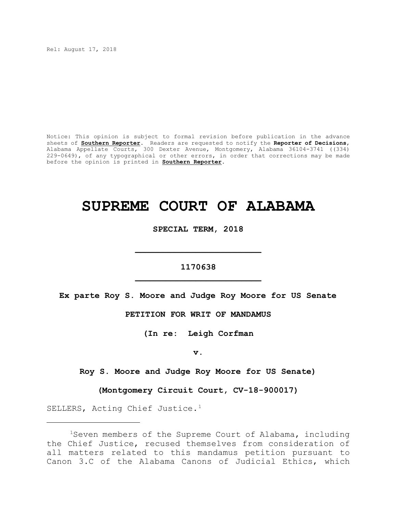Rel: August 17, 2018

Notice: This opinion is subject to formal revision before publication in the advance sheets of **Southern Reporter**. Readers are requested to notify the **Reporter of Decisions**, Alabama Appellate Courts, 300 Dexter Avenue, Montgomery, Alabama 36104-3741 ((334) 229-0649), of any typographical or other errors, in order that corrections may be made before the opinion is printed in **Southern Reporter**.

# **SUPREME COURT OF ALABAMA**

**SPECIAL TERM, 2018**

# **1170638 \_\_\_\_\_\_\_\_\_\_\_\_\_\_\_\_\_\_\_\_\_\_\_\_\_**

**\_\_\_\_\_\_\_\_\_\_\_\_\_\_\_\_\_\_\_\_\_\_\_\_\_**

**Ex parte Roy S. Moore and Judge Roy Moore for US Senate**

## **PETITION FOR WRIT OF MANDAMUS**

**(In re: Leigh Corfman**

**v.**

**Roy S. Moore and Judge Roy Moore for US Senate)**

**(Montgomery Circuit Court, CV-18-900017)**

SELLERS, Acting Chief Justice.<sup>1</sup>

<sup>1</sup>Seven members of the Supreme Court of Alabama, including the Chief Justice, recused themselves from consideration of all matters related to this mandamus petition pursuant to Canon 3.C of the Alabama Canons of Judicial Ethics, which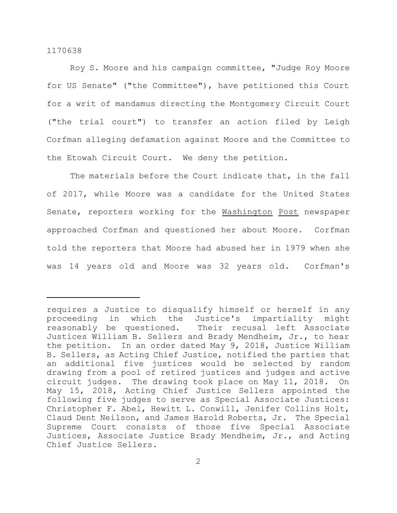Roy S. Moore and his campaign committee, "Judge Roy Moore for US Senate" ("the Committee"), have petitioned this Court for a writ of mandamus directing the Montgomery Circuit Court ("the trial court") to transfer an action filed by Leigh Corfman alleging defamation against Moore and the Committee to the Etowah Circuit Court. We deny the petition.

The materials before the Court indicate that, in the fall of 2017, while Moore was a candidate for the United States Senate, reporters working for the Washington Post newspaper approached Corfman and questioned her about Moore. Corfman told the reporters that Moore had abused her in 1979 when she was 14 years old and Moore was 32 years old. Corfman's

requires a Justice to disqualify himself or herself in any proceeding in which the Justice's impartiality might reasonably be questioned. Their recusal left Associate Justices William B. Sellers and Brady Mendheim, Jr., to hear the petition. In an order dated May 9, 2018, Justice William B. Sellers, as Acting Chief Justice, notified the parties that an additional five justices would be selected by random drawing from a pool of retired justices and judges and active circuit judges. The drawing took place on May 11, 2018. On May 15, 2018, Acting Chief Justice Sellers appointed the following five judges to serve as Special Associate Justices: Christopher F. Abel, Hewitt L. Conwill, Jenifer Collins Holt, Claud Dent Neilson, and James Harold Roberts, Jr. The Special Supreme Court consists of those five Special Associate Justices, Associate Justice Brady Mendheim, Jr., and Acting Chief Justice Sellers.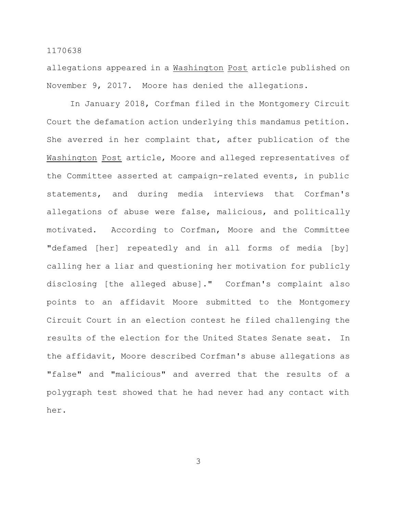allegations appeared in a Washington Post article published on November 9, 2017. Moore has denied the allegations.

In January 2018, Corfman filed in the Montgomery Circuit Court the defamation action underlying this mandamus petition. She averred in her complaint that, after publication of the Washington Post article, Moore and alleged representatives of the Committee asserted at campaign-related events, in public statements, and during media interviews that Corfman's allegations of abuse were false, malicious, and politically motivated. According to Corfman, Moore and the Committee "defamed [her] repeatedly and in all forms of media [by] calling her a liar and questioning her motivation for publicly disclosing [the alleged abuse]." Corfman's complaint also points to an affidavit Moore submitted to the Montgomery Circuit Court in an election contest he filed challenging the results of the election for the United States Senate seat. In the affidavit, Moore described Corfman's abuse allegations as "false" and "malicious" and averred that the results of a polygraph test showed that he had never had any contact with her.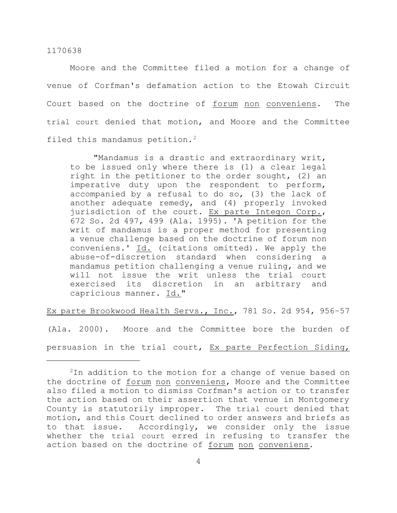Moore and the Committee filed a motion for a change of venue of Corfman's defamation action to the Etowah Circuit Court based on the doctrine of forum non conveniens. The trial court denied that motion, and Moore and the Committee filed this mandamus petition.<sup>2</sup>

"Mandamus is a drastic and extraordinary writ, to be issued only where there is (1) a clear legal right in the petitioner to the order sought, (2) an imperative duty upon the respondent to perform, accompanied by a refusal to do so, (3) the lack of another adequate remedy, and (4) properly invoked jurisdiction of the court. Ex parte Integon Corp., 672 So. 2d 497, 499 (Ala. 1995). 'A petition for the writ of mandamus is a proper method for presenting a venue challenge based on the doctrine of forum non conveniens.' Id. (citations omitted). We apply the abuse-of-discretion standard when considering a mandamus petition challenging a venue ruling, and we will not issue the writ unless the trial court exercised its discretion in an arbitrary and capricious manner. Id."

Ex parte Brookwood Health Servs., Inc., 781 So. 2d 954, 956–57

(Ala. 2000). Moore and the Committee bore the burden of persuasion in the trial court, Ex parte Perfection Siding,

 $2$ In addition to the motion for a change of venue based on the doctrine of forum non conveniens, Moore and the Committee also filed a motion to dismiss Corfman's action or to transfer the action based on their assertion that venue in Montgomery County is statutorily improper. The trial court denied that motion, and this Court declined to order answers and briefs as to that issue. Accordingly, we consider only the issue whether the trial court erred in refusing to transfer the action based on the doctrine of forum non conveniens.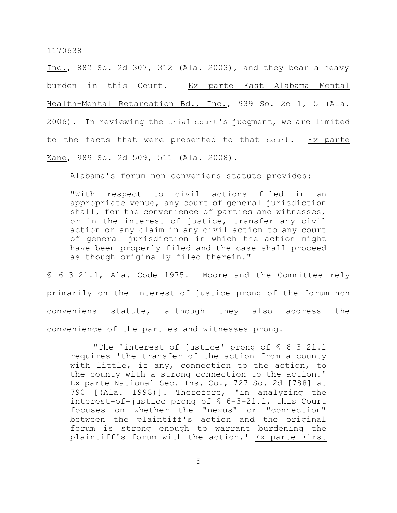Inc., 882 So. 2d 307, 312 (Ala. 2003), and they bear a heavy burden in this Court. Ex parte East Alabama Mental Health-Mental Retardation Bd., Inc., 939 So. 2d 1, 5 (Ala. 2006). In reviewing the trial court's judgment, we are limited to the facts that were presented to that court. Ex parte Kane, 989 So. 2d 509, 511 (Ala. 2008).

Alabama's forum non conveniens statute provides:

"With respect to civil actions filed in an appropriate venue, any court of general jurisdiction shall, for the convenience of parties and witnesses, or in the interest of justice, transfer any civil action or any claim in any civil action to any court of general jurisdiction in which the action might have been properly filed and the case shall proceed as though originally filed therein."

§ 6-3-21.1, Ala. Code 1975. Moore and the Committee rely primarily on the interest-of-justice prong of the forum non conveniens statute, although they also address the convenience-of-the-parties-and-witnesses prong.

"The 'interest of justice' prong of § 6–3–21.1 requires 'the transfer of the action from a county with little, if any, connection to the action, to the county with a strong connection to the action.' Ex parte National Sec. Ins. Co., 727 So. 2d [788] at 790 [(Ala. 1998)]. Therefore, 'in analyzing the interest-of-justice prong of § 6–3–21.1, this Court focuses on whether the "nexus" or "connection" between the plaintiff's action and the original forum is strong enough to warrant burdening the plaintiff's forum with the action.' Ex parte First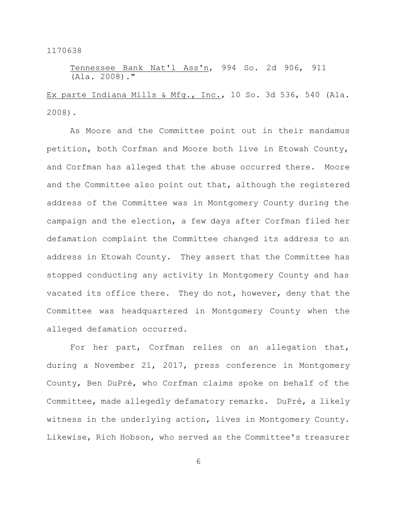## Tennessee Bank Nat'l Ass'n, 994 So. 2d 906, 911  $(A1a. 2008)$ .

Ex parte Indiana Mills & Mfg., Inc., 10 So. 3d 536, 540 (Ala. 2008).

As Moore and the Committee point out in their mandamus petition, both Corfman and Moore both live in Etowah County, and Corfman has alleged that the abuse occurred there. Moore and the Committee also point out that, although the registered address of the Committee was in Montgomery County during the campaign and the election, a few days after Corfman filed her defamation complaint the Committee changed its address to an address in Etowah County. They assert that the Committee has stopped conducting any activity in Montgomery County and has vacated its office there. They do not, however, deny that the Committee was headquartered in Montgomery County when the alleged defamation occurred.

For her part, Corfman relies on an allegation that, during a November 21, 2017, press conference in Montgomery County, Ben DuPré, who Corfman claims spoke on behalf of the Committee, made allegedly defamatory remarks. DuPré, a likely witness in the underlying action, lives in Montgomery County. Likewise, Rich Hobson, who served as the Committee's treasurer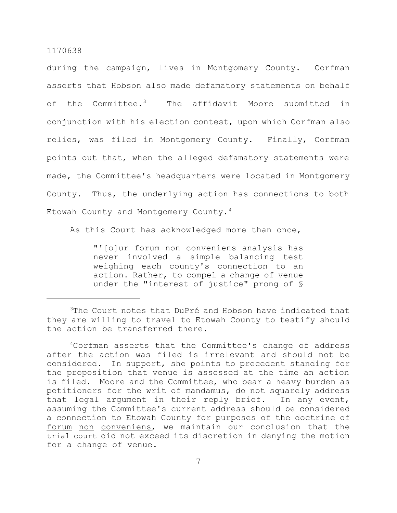during the campaign, lives in Montgomery County. Corfman asserts that Hobson also made defamatory statements on behalf of the Committee.<sup>3</sup> The affidavit Moore submitted in conjunction with his election contest, upon which Corfman also relies, was filed in Montgomery County. Finally, Corfman points out that, when the alleged defamatory statements were made, the Committee's headquarters were located in Montgomery County. Thus, the underlying action has connections to both Etowah County and Montgomery County.<sup>4</sup>

As this Court has acknowledged more than once,

"'[o]ur forum non conveniens analysis has never involved a simple balancing test weighing each county's connection to an action. Rather, to compel a change of venue under the "interest of justice" prong of §

<sup>&</sup>lt;sup>3</sup>The Court notes that DuPré and Hobson have indicated that they are willing to travel to Etowah County to testify should the action be transferred there.

<sup>4</sup>Corfman asserts that the Committee's change of address after the action was filed is irrelevant and should not be considered. In support, she points to precedent standing for the proposition that venue is assessed at the time an action is filed. Moore and the Committee, who bear a heavy burden as petitioners for the writ of mandamus, do not squarely address that legal argument in their reply brief. In any event, assuming the Committee's current address should be considered a connection to Etowah County for purposes of the doctrine of forum non conveniens, we maintain our conclusion that the trial court did not exceed its discretion in denying the motion for a change of venue.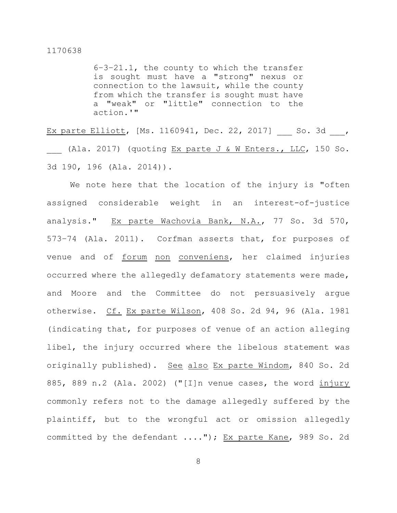6–3–21.1, the county to which the transfer is sought must have a "strong" nexus or connection to the lawsuit, while the county from which the transfer is sought must have a "weak" or "little" connection to the action.'"

Ex parte Elliott, [Ms. 1160941, Dec. 22, 2017] So. 3d , (Ala. 2017) (quoting  $Ex$  parte J & W Enters., LLC, 150 So. 3d 190, 196 (Ala. 2014)).

We note here that the location of the injury is "often assigned considerable weight in an interest-of-justice analysis." Ex parte Wachovia Bank, N.A., 77 So. 3d 570, 573–74 (Ala. 2011). Corfman asserts that, for purposes of venue and of forum non conveniens, her claimed injuries occurred where the allegedly defamatory statements were made, and Moore and the Committee do not persuasively argue otherwise. Cf. Ex parte Wilson, 408 So. 2d 94, 96 (Ala. 1981 (indicating that, for purposes of venue of an action alleging libel, the injury occurred where the libelous statement was originally published). See also Ex parte Windom, 840 So. 2d 885, 889 n.2 (Ala. 2002) ("[I]n venue cases, the word injury commonly refers not to the damage allegedly suffered by the plaintiff, but to the wrongful act or omission allegedly committed by the defendant ...."); Ex parte Kane, 989 So. 2d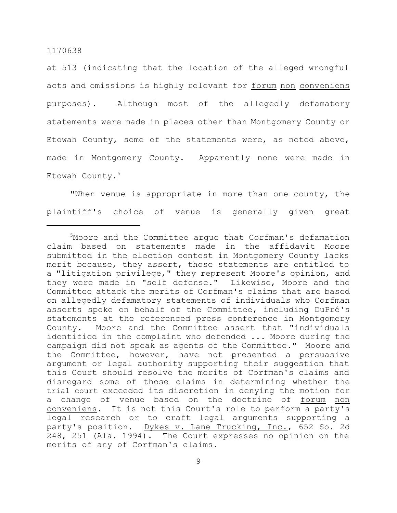at 513 (indicating that the location of the alleged wrongful acts and omissions is highly relevant for forum non conveniens purposes). Although most of the allegedly defamatory statements were made in places other than Montgomery County or Etowah County, some of the statements were, as noted above, made in Montgomery County. Apparently none were made in Etowah County.<sup>5</sup>

"When venue is appropriate in more than one county, the plaintiff's choice of venue is generally given great

<sup>&</sup>lt;sup>5</sup>Moore and the Committee arque that Corfman's defamation claim based on statements made in the affidavit Moore submitted in the election contest in Montgomery County lacks merit because, they assert, those statements are entitled to a "litigation privilege," they represent Moore's opinion, and they were made in "self defense." Likewise, Moore and the Committee attack the merits of Corfman's claims that are based on allegedly defamatory statements of individuals who Corfman asserts spoke on behalf of the Committee, including DuPré's statements at the referenced press conference in Montgomery County. Moore and the Committee assert that "individuals identified in the complaint who defended ... Moore during the campaign did not speak as agents of the Committee." Moore and the Committee, however, have not presented a persuasive argument or legal authority supporting their suggestion that this Court should resolve the merits of Corfman's claims and disregard some of those claims in determining whether the trial court exceeded its discretion in denying the motion for a change of venue based on the doctrine of forum non conveniens. It is not this Court's role to perform a party's legal research or to craft legal arguments supporting a party's position. Dykes v. Lane Trucking, Inc., 652 So. 2d 248, 251 (Ala. 1994). The Court expresses no opinion on the merits of any of Corfman's claims.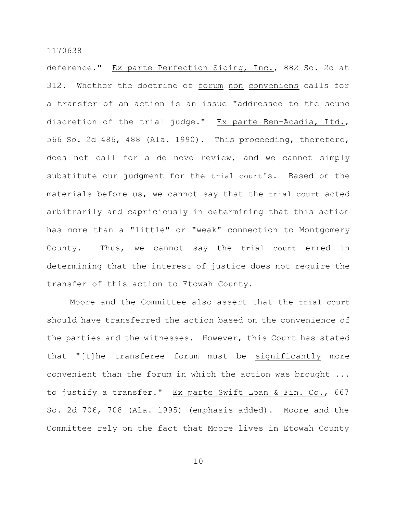deference." Ex parte Perfection Siding, Inc., 882 So. 2d at 312. Whether the doctrine of forum non conveniens calls for a transfer of an action is an issue "addressed to the sound discretion of the trial judge." Ex parte Ben-Acadia, Ltd., 566 So. 2d 486, 488 (Ala. 1990). This proceeding, therefore, does not call for a de novo review, and we cannot simply substitute our judgment for the trial court's. Based on the materials before us, we cannot say that the trial court acted arbitrarily and capriciously in determining that this action has more than a "little" or "weak" connection to Montgomery County. Thus, we cannot say the trial court erred in determining that the interest of justice does not require the transfer of this action to Etowah County.

Moore and the Committee also assert that the trial court should have transferred the action based on the convenience of the parties and the witnesses. However, this Court has stated that "[t]he transferee forum must be significantly more convenient than the forum in which the action was brought ... to justify a transfer." Ex parte Swift Loan & Fin. Co., 667 So. 2d 706, 708 (Ala. 1995) (emphasis added). Moore and the Committee rely on the fact that Moore lives in Etowah County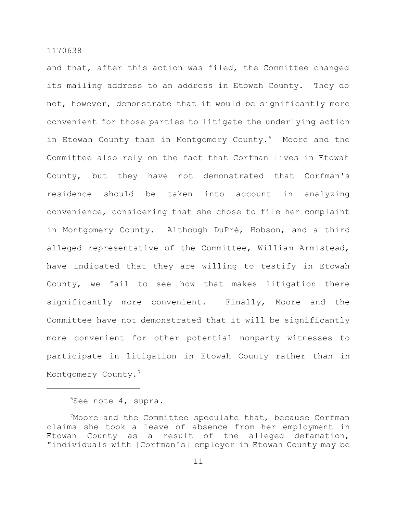and that, after this action was filed, the Committee changed its mailing address to an address in Etowah County. They do not, however, demonstrate that it would be significantly more convenient for those parties to litigate the underlying action in Etowah County than in Montgomery County.<sup>6</sup> Moore and the Committee also rely on the fact that Corfman lives in Etowah County, but they have not demonstrated that Corfman's residence should be taken into account in analyzing convenience, considering that she chose to file her complaint in Montgomery County. Although DuPré, Hobson, and a third alleged representative of the Committee, William Armistead, have indicated that they are willing to testify in Etowah County, we fail to see how that makes litigation there significantly more convenient. Finally, Moore and the Committee have not demonstrated that it will be significantly more convenient for other potential nonparty witnesses to participate in litigation in Etowah County rather than in Montgomery County.<sup>7</sup>

 $6$ See note 4, supra.

<sup>&</sup>lt;sup>7</sup>Moore and the Committee speculate that, because Corfman claims she took a leave of absence from her employment in Etowah County as a result of the alleged defamation, "individuals with [Corfman's] employer in Etowah County may be